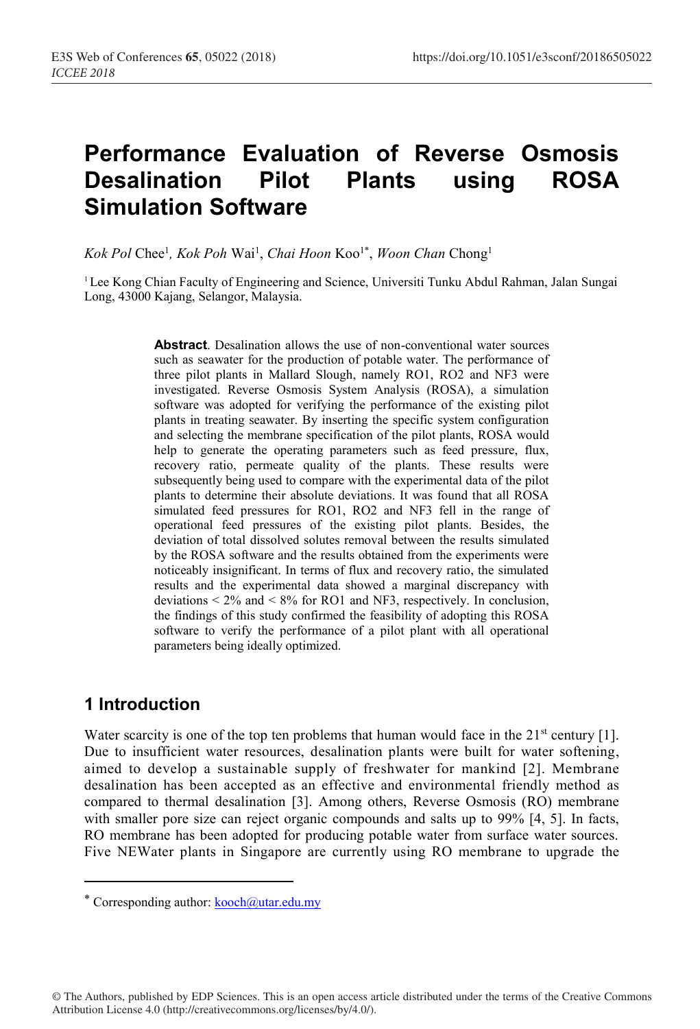# **Performance Evaluation of Reverse Osmosis Desalination Pilot Plants using ROSA Simulation Software**

 $Kok$  Pol Chee<sup>1</sup>, *Kok Poh* Wai<sup>1</sup>, *Chai Hoon* Koo<sup>1\*</sup>, *Woon Chan* Chong<sup>1</sup>

<sup>1</sup> Lee Kong Chian Faculty of Engineering and Science, Universiti Tunku Abdul Rahman, Jalan Sungai Long, 43000 Kajang, Selangor, Malaysia.

> **Abstract**. Desalination allows the use of non-conventional water sources such as seawater for the production of potable water. The performance of three pilot plants in Mallard Slough, namely RO1, RO2 and NF3 were investigated. Reverse Osmosis System Analysis (ROSA), a simulation software was adopted for verifying the performance of the existing pilot plants in treating seawater. By inserting the specific system configuration and selecting the membrane specification of the pilot plants, ROSA would help to generate the operating parameters such as feed pressure, flux, recovery ratio, permeate quality of the plants. These results were subsequently being used to compare with the experimental data of the pilot plants to determine their absolute deviations. It was found that all ROSA simulated feed pressures for RO1, RO2 and NF3 fell in the range of operational feed pressures of the existing pilot plants. Besides, the deviation of total dissolved solutes removal between the results simulated by the ROSA software and the results obtained from the experiments were noticeably insignificant. In terms of flux and recovery ratio, the simulated results and the experimental data showed a marginal discrepancy with deviations  $\leq 2\%$  and  $\leq 8\%$  for RO1 and NF3, respectively. In conclusion, the findings of this study confirmed the feasibility of adopting this ROSA software to verify the performance of a pilot plant with all operational parameters being ideally optimized.

## **1 Introduction**

**.** 

Water scarcity is one of the top ten problems that human would face in the  $21^{st}$  century [1]. Due to insufficient water resources, desalination plants were built for water softening, aimed to develop a sustainable supply of freshwater for mankind [2]. Membrane desalination has been accepted as an effective and environmental friendly method as compared to thermal desalination [3]. Among others, Reverse Osmosis (RO) membrane with smaller pore size can reject organic compounds and salts up to 99% [4, 5]. In facts, RO membrane has been adopted for producing potable water from surface water sources. Five NEWater plants in Singapore are currently using RO membrane to upgrade the

© The Authors, published by EDP Sciences. This is an open access article distributed under the terms of the Creative Commons Attribution License 4.0 (http://creativecommons.org/licenses/by/4.0/).

<sup>\*</sup> Corresponding author:  $kooch@utar.edu.my$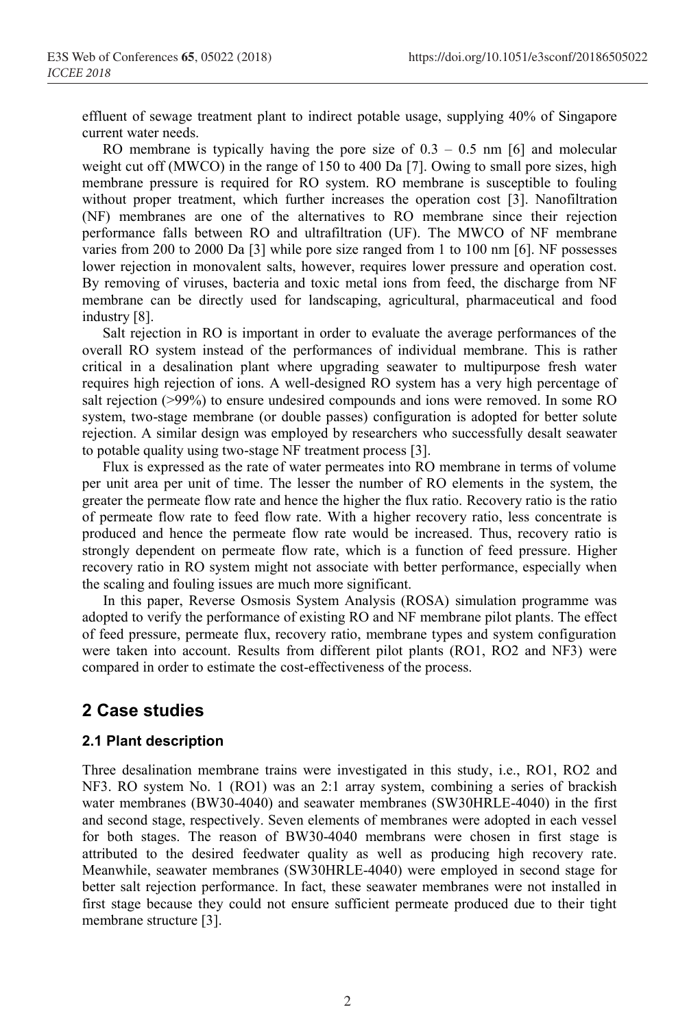effluent of sewage treatment plant to indirect potable usage, supplying 40% of Singapore current water needs.

RO membrane is typically having the pore size of  $0.3 - 0.5$  nm [6] and molecular weight cut off (MWCO) in the range of 150 to 400 Da [7]. Owing to small pore sizes, high membrane pressure is required for RO system. RO membrane is susceptible to fouling without proper treatment, which further increases the operation cost [3]. Nanofiltration (NF) membranes are one of the alternatives to RO membrane since their rejection performance falls between RO and ultrafiltration (UF). The MWCO of NF membrane varies from 200 to 2000 Da [3] while pore size ranged from 1 to 100 nm [6]. NF possesses lower rejection in monovalent salts, however, requires lower pressure and operation cost. By removing of viruses, bacteria and toxic metal ions from feed, the discharge from NF membrane can be directly used for landscaping, agricultural, pharmaceutical and food industry [8].

Salt rejection in RO is important in order to evaluate the average performances of the overall RO system instead of the performances of individual membrane. This is rather critical in a desalination plant where upgrading seawater to multipurpose fresh water requires high rejection of ions. A well-designed RO system has a very high percentage of salt rejection (>99%) to ensure undesired compounds and ions were removed. In some RO system, two-stage membrane (or double passes) configuration is adopted for better solute rejection. A similar design was employed by researchers who successfully desalt seawater to potable quality using two-stage NF treatment process [3].

Flux is expressed as the rate of water permeates into RO membrane in terms of volume per unit area per unit of time. The lesser the number of RO elements in the system, the greater the permeate flow rate and hence the higher the flux ratio. Recovery ratio is the ratio of permeate flow rate to feed flow rate. With a higher recovery ratio, less concentrate is produced and hence the permeate flow rate would be increased. Thus, recovery ratio is strongly dependent on permeate flow rate, which is a function of feed pressure. Higher recovery ratio in RO system might not associate with better performance, especially when the scaling and fouling issues are much more significant.

In this paper, Reverse Osmosis System Analysis (ROSA) simulation programme was adopted to verify the performance of existing RO and NF membrane pilot plants. The effect of feed pressure, permeate flux, recovery ratio, membrane types and system configuration were taken into account. Results from different pilot plants (RO1, RO2 and NF3) were compared in order to estimate the cost-effectiveness of the process.

# **2 Case studies**

#### **2.1 Plant description**

Three desalination membrane trains were investigated in this study, i.e., RO1, RO2 and NF3. RO system No. 1 (RO1) was an 2:1 array system, combining a series of brackish water membranes (BW30-4040) and seawater membranes (SW30HRLE-4040) in the first and second stage, respectively. Seven elements of membranes were adopted in each vessel for both stages. The reason of BW30-4040 membrans were chosen in first stage is attributed to the desired feedwater quality as well as producing high recovery rate. Meanwhile, seawater membranes (SW30HRLE-4040) were employed in second stage for better salt rejection performance. In fact, these seawater membranes were not installed in first stage because they could not ensure sufficient permeate produced due to their tight membrane structure [3].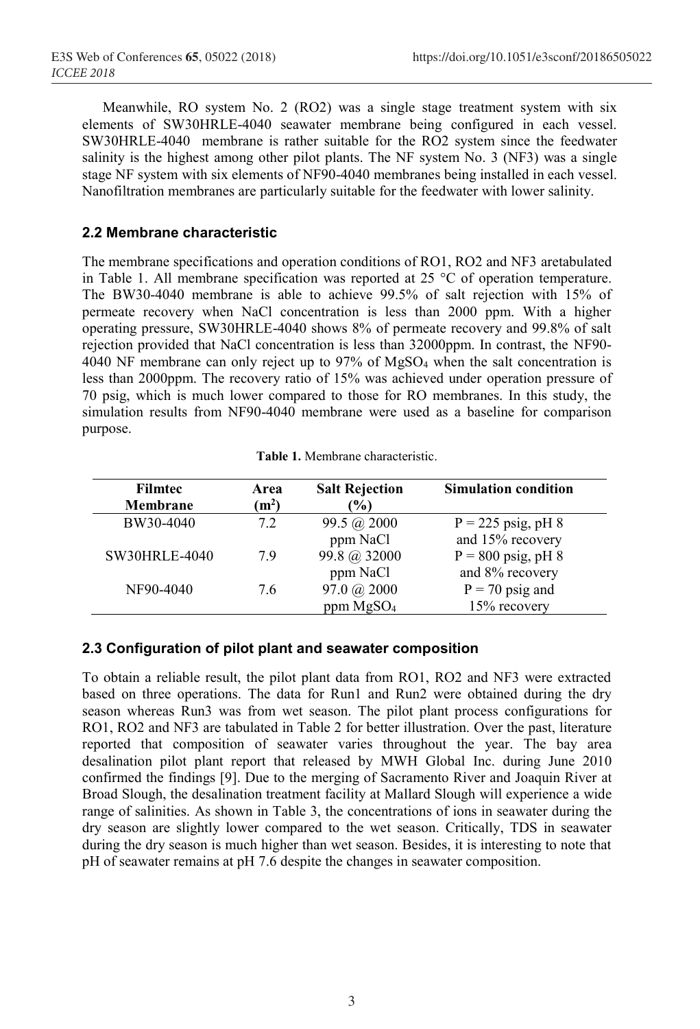Meanwhile, RO system No. 2 (RO2) was a single stage treatment system with six elements of SW30HRLE-4040 seawater membrane being configured in each vessel. SW30HRLE-4040 membrane is rather suitable for the RO2 system since the feedwater salinity is the highest among other pilot plants. The NF system No. 3 (NF3) was a single stage NF system with six elements of NF90-4040 membranes being installed in each vessel. Nanofiltration membranes are particularly suitable for the feedwater with lower salinity.

#### **2.2 Membrane characteristic**

The membrane specifications and operation conditions of RO1, RO2 and NF3 aretabulated in Table 1. All membrane specification was reported at 25 °C of operation temperature. The BW30-4040 membrane is able to achieve 99.5% of salt rejection with 15% of permeate recovery when NaCl concentration is less than 2000 ppm. With a higher operating pressure, SW30HRLE-4040 shows 8% of permeate recovery and 99.8% of salt rejection provided that NaCl concentration is less than 32000ppm. In contrast, the NF90- 4040 NF membrane can only reject up to 97% of MgSO4 when the salt concentration is less than 2000ppm. The recovery ratio of 15% was achieved under operation pressure of 70 psig, which is much lower compared to those for RO membranes. In this study, the simulation results from NF90-4040 membrane were used as a baseline for comparison purpose.

|  |  |  | Table 1. Membrane characteristic. |
|--|--|--|-----------------------------------|
|--|--|--|-----------------------------------|

| <b>Filmtec</b><br>Membrane | Area<br>(m <sup>2</sup> ) | <b>Salt Rejection</b><br>$\frac{1}{2}$ | <b>Simulation condition</b> |
|----------------------------|---------------------------|----------------------------------------|-----------------------------|
| BW30-4040                  | 72                        | 99.5 @ 2000                            | $P = 225$ psig, pH 8        |
|                            |                           | ppm NaCl                               | and 15% recovery            |
| <b>SW30HRLE-4040</b>       | 79                        | 99.8 @ 32000                           | $P = 800$ psig, pH 8        |
|                            |                           | ppm NaCl                               | and 8% recovery             |
| NF90-4040                  | 76                        | 97.0 @ 2000                            | $P = 70$ psig and           |
|                            |                           | ppm MgSO <sub>4</sub>                  | 15% recovery                |

#### **2.3 Configuration of pilot plant and seawater composition**

To obtain a reliable result, the pilot plant data from RO1, RO2 and NF3 were extracted based on three operations. The data for Run1 and Run2 were obtained during the dry season whereas Run3 was from wet season. The pilot plant process configurations for RO1, RO2 and NF3 are tabulated in Table 2 for better illustration. Over the past, literature reported that composition of seawater varies throughout the year. The bay area desalination pilot plant report that released by MWH Global Inc. during June 2010 confirmed the findings [9]. Due to the merging of Sacramento River and Joaquin River at Broad Slough, the desalination treatment facility at Mallard Slough will experience a wide range of salinities. As shown in Table 3, the concentrations of ions in seawater during the dry season are slightly lower compared to the wet season. Critically, TDS in seawater during the dry season is much higher than wet season. Besides, it is interesting to note that pH of seawater remains at pH 7.6 despite the changes in seawater composition.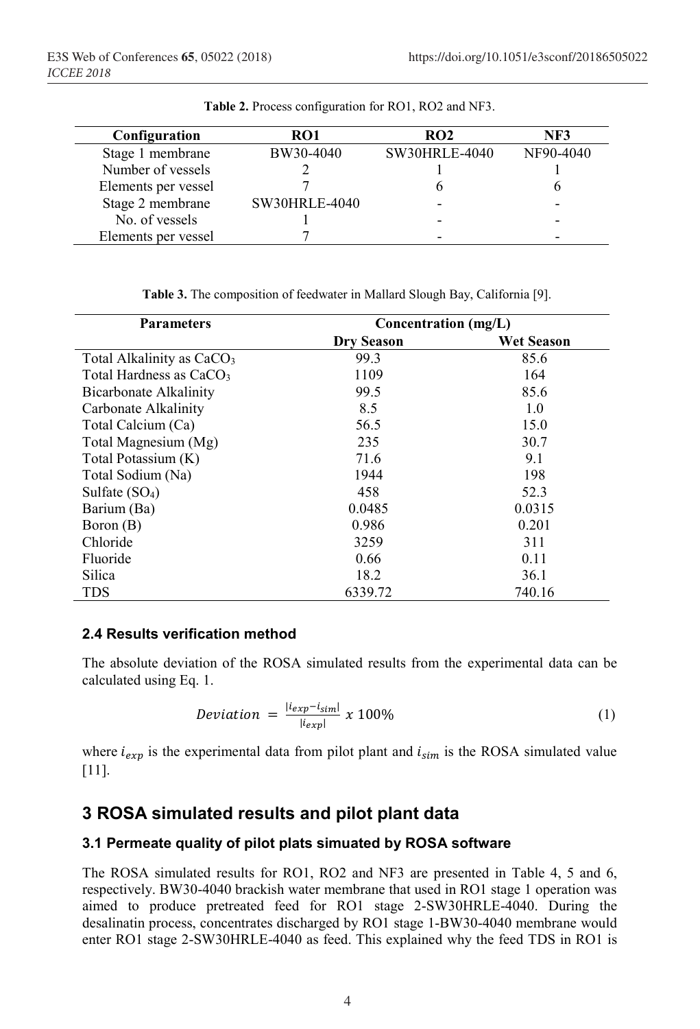| Configuration       | RO1                  | RO2           | NF3       |
|---------------------|----------------------|---------------|-----------|
| Stage 1 membrane    | BW30-4040            | SW30HRLE-4040 | NF90-4040 |
| Number of vessels   |                      |               |           |
| Elements per vessel |                      |               |           |
| Stage 2 membrane    | <b>SW30HRLE-4040</b> |               |           |
| No. of vessels      |                      |               |           |
| Elements per vessel |                      |               |           |

**Table 2.** Process configuration for RO1, RO2 and NF3.

**Table 3.** The composition of feedwater in Mallard Slough Bay, California [9].

| <b>Parameters</b>                     | Concentration (mg/L) |                   |  |  |  |
|---------------------------------------|----------------------|-------------------|--|--|--|
|                                       | <b>Dry Season</b>    | <b>Wet Season</b> |  |  |  |
| Total Alkalinity as CaCO <sub>3</sub> | 99.3                 | 85.6              |  |  |  |
| Total Hardness as $CaCO3$             | 1109                 | 164               |  |  |  |
| Bicarbonate Alkalinity                | 99.5                 | 85.6              |  |  |  |
| Carbonate Alkalinity                  | 8.5                  | 1.0               |  |  |  |
| Total Calcium (Ca)                    | 56.5                 | 15.0              |  |  |  |
| Total Magnesium (Mg)                  | 235                  | 30.7              |  |  |  |
| Total Potassium (K)                   | 71.6                 | 9.1               |  |  |  |
| Total Sodium (Na)                     | 1944                 | 198               |  |  |  |
| Sulfate $(SO4)$                       | 458                  | 52.3              |  |  |  |
| Barium (Ba)                           | 0.0485               | 0.0315            |  |  |  |
| Boron (B)                             | 0.986                | 0.201             |  |  |  |
| Chloride                              | 3259                 | 311               |  |  |  |
| Fluoride                              | 0.66                 | 0.11              |  |  |  |
| Silica                                | 18.2                 | 36.1              |  |  |  |
| <b>TDS</b>                            | 6339.72              | 740.16            |  |  |  |

#### **2.4 Results verification method**

The absolute deviation of the ROSA simulated results from the experimental data can be calculated using Eq. 1.

$$
Deviation = \frac{|i_{exp}-i_{sim}|}{|i_{exp}|} \times 100\%
$$
\n(1)

where  $i_{exn}$  is the experimental data from pilot plant and  $i_{sim}$  is the ROSA simulated value [11].

## **3 ROSA simulated results and pilot plant data**

#### **3.1 Permeate quality of pilot plats simuated by ROSA software**

The ROSA simulated results for RO1, RO2 and NF3 are presented in Table 4, 5 and 6, respectively. BW30-4040 brackish water membrane that used in RO1 stage 1 operation was aimed to produce pretreated feed for RO1 stage 2-SW30HRLE-4040. During the desalinatin process, concentrates discharged by RO1 stage 1-BW30-4040 membrane would enter RO1 stage 2-SW30HRLE-4040 as feed. This explained why the feed TDS in RO1 is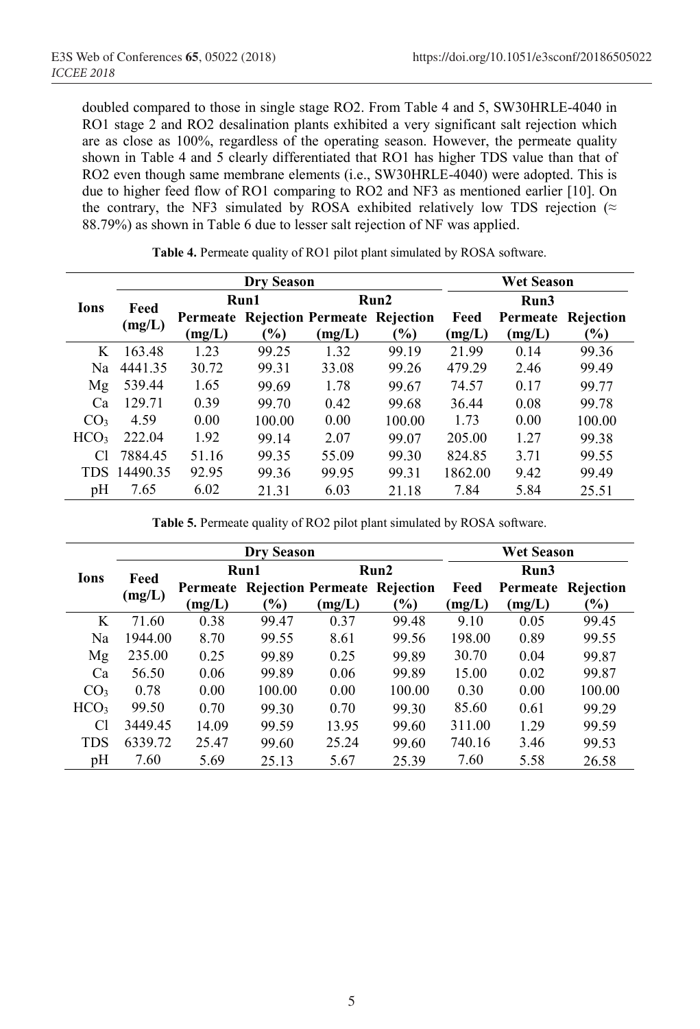doubled compared to those in single stage RO2. From Table 4 and 5, SW30HRLE-4040 in RO1 stage 2 and RO2 desalination plants exhibited a very significant salt rejection which are as close as 100%, regardless of the operating season. However, the permeate quality shown in Table 4 and 5 clearly differentiated that RO1 has higher TDS value than that of RO2 even though same membrane elements (i.e., SW30HRLE-4040) were adopted. This is due to higher feed flow of RO1 comparing to RO2 and NF3 as mentioned earlier [10]. On the contrary, the NF3 simulated by ROSA exhibited relatively low TDS rejection ( $\approx$ 88.79%) as shown in Table 6 due to lesser salt rejection of NF was applied.

|                  | <b>Dry Season</b> |        |               |        |                                       |         | <b>Wet Season</b> |           |  |  |
|------------------|-------------------|--------|---------------|--------|---------------------------------------|---------|-------------------|-----------|--|--|
| Ions             | Feed              |        | Run1          |        | Run2                                  | Run3    |                   |           |  |  |
|                  | (mg/L)            |        |               |        | Permeate Rejection Permeate Rejection | Feed    | Permeate          | Rejection |  |  |
|                  |                   | (mg/L) | $\frac{6}{6}$ | (mg/L) | $\frac{1}{2}$                         | (mg/L)  | (mg/L)            | $(\%)$    |  |  |
| K                | 163.48            | 1.23   | 99.25         | 1.32   | 99.19                                 | 21.99   | 0.14              | 99.36     |  |  |
| Na               | 4441.35           | 30.72  | 99.31         | 33.08  | 99.26                                 | 479.29  | 2.46              | 99.49     |  |  |
| Mg               | 539.44            | 1.65   | 99.69         | 1.78   | 99.67                                 | 74.57   | 0.17              | 99 77     |  |  |
| Ca               | 129.71            | 0.39   | 99.70         | 0.42   | 99.68                                 | 36.44   | 0.08              | 99.78     |  |  |
| CO <sub>3</sub>  | 4.59              | 0.00   | 100.00        | 0.00   | 100.00                                | 1.73    | 0.00              | 100.00    |  |  |
| HCO <sub>3</sub> | 222.04            | 1.92   | 99 14         | 2.07   | 99.07                                 | 205.00  | 1.27              | 99.38     |  |  |
| Сl               | 7884.45           | 51.16  | 99.35         | 55.09  | 99.30                                 | 824.85  | 3.71              | 99.55     |  |  |
| TDS              | 14490.35          | 92.95  | 99.36         | 99.95  | 99.31                                 | 1862.00 | 9.42              | 99.49     |  |  |
| pΗ               | 7.65              | 6.02   | 21.31         | 6.03   | 21.18                                 | 7.84    | 5.84              | 25.51     |  |  |

**Table 4.** Permeate quality of RO1 pilot plant simulated by ROSA software.

**Table 5.** Permeate quality of RO2 pilot plant simulated by ROSA software.

|                  |         |          | <b>Dry Season</b> | <b>Wet Season</b> |                                     |        |          |                 |
|------------------|---------|----------|-------------------|-------------------|-------------------------------------|--------|----------|-----------------|
| Ions             | Feed    | Run1     |                   |                   | Run2                                | Run3   |          |                 |
|                  | (mg/L)  | Permeate |                   |                   | <b>Rejection Permeate Rejection</b> | Feed   | Permeate | Rejection       |
|                  |         | (mg/L)   | $\frac{1}{2}$     | (mg/L)            | $\frac{1}{2}$                       | (mg/L) | (mg/L)   | $\mathcal{O}_0$ |
| K                | 71.60   | 0.38     | 99.47             | 0.37              | 99.48                               | 9.10   | 0.05     | 99.45           |
| Na               | 1944.00 | 8.70     | 99.55             | 8.61              | 99.56                               | 198.00 | 0.89     | 99.55           |
| Mg               | 235.00  | 0.25     | 99.89             | 0.25              | 99.89                               | 30.70  | 0.04     | 99.87           |
| Ca               | 56.50   | 0.06     | 99.89             | 0.06              | 99.89                               | 15.00  | 0.02     | 99.87           |
| CO <sub>3</sub>  | 0.78    | 0.00     | 100.00            | 0.00              | 100.00                              | 0.30   | 0.00     | 100.00          |
| HCO <sub>3</sub> | 99.50   | 0.70     | 99 30             | 0.70              | 99.30                               | 85.60  | 0.61     | 99 29           |
| Cl               | 3449.45 | 14.09    | 99.59             | 13.95             | 99.60                               | 311.00 | 1 29     | 99.59           |
| TDS              | 6339.72 | 25.47    | 99.60             | 25.24             | 99.60                               | 740.16 | 3.46     | 99.53           |
| pH               | 7.60    | 5.69     | 25.13             | 5.67              | 25.39                               | 7.60   | 5.58     | 26.58           |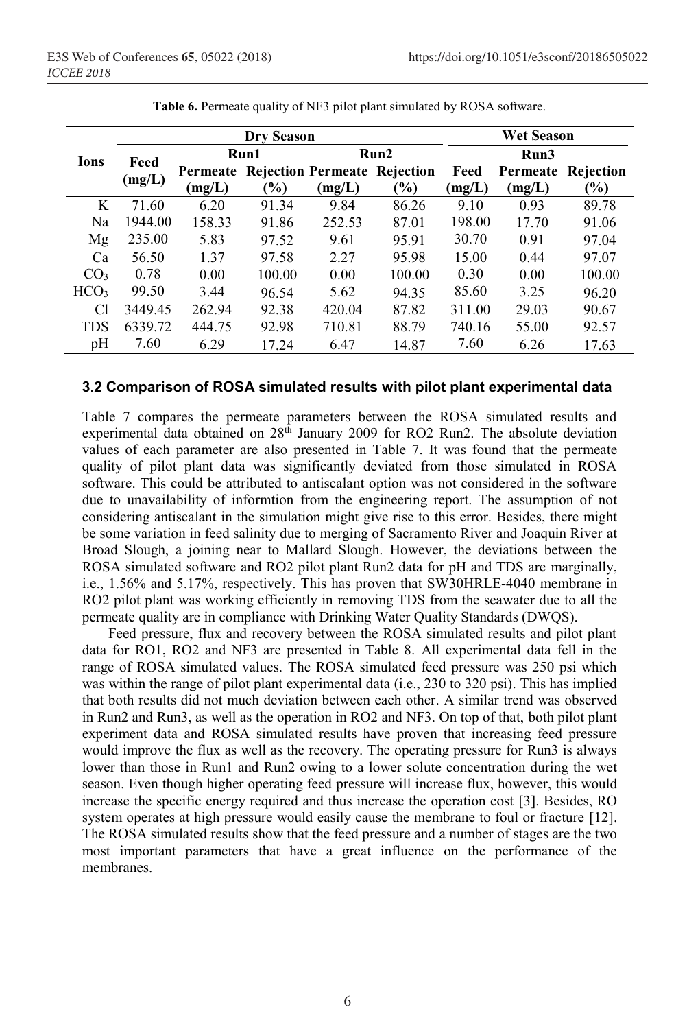|                  |         |        | Dry Season      |        | <b>Wet Season</b>                     |        |          |               |  |
|------------------|---------|--------|-----------------|--------|---------------------------------------|--------|----------|---------------|--|
| <b>Ions</b>      | Feed    |        | Run1            |        | Run2                                  |        | Run3     |               |  |
|                  | (mg/L)  |        |                 |        | Permeate Rejection Permeate Rejection | Feed   | Permeate | Rejection     |  |
|                  |         | (mg/L) | $\mathcal{O}_0$ | (mg/L) | $\frac{1}{2}$                         | (mg/L) | (mg/L)   | $\frac{1}{2}$ |  |
| K                | 71.60   | 6.20   | 91.34           | 9.84   | 86.26                                 | 9.10   | 0.93     | 89.78         |  |
| Na               | 1944.00 | 158.33 | 91.86           | 252.53 | 87.01                                 | 198.00 | 17.70    | 91.06         |  |
| Mg               | 235.00  | 5.83   | 97.52           | 9.61   | 95.91                                 | 30.70  | 0.91     | 97.04         |  |
| Ca               | 56.50   | 1.37   | 97.58           | 2.27   | 95.98                                 | 15.00  | 0.44     | 97.07         |  |
| CO <sub>3</sub>  | 0.78    | 0.00   | 100.00          | 0.00   | 100.00                                | 0.30   | 0.00     | 100.00        |  |
| HCO <sub>3</sub> | 99.50   | 3.44   | 96.54           | 5.62   | 94.35                                 | 85.60  | 3.25     | 96.20         |  |
| Cl               | 3449.45 | 262.94 | 92.38           | 420.04 | 87.82                                 | 311.00 | 29.03    | 90.67         |  |
| <b>TDS</b>       | 6339.72 | 444.75 | 92.98           | 710.81 | 88.79                                 | 740.16 | 55.00    | 92.57         |  |
| pH               | 7.60    | 6.29   | 17.24           | 6.47   | 14.87                                 | 7.60   | 6.26     | 17.63         |  |

**Table 6.** Permeate quality of NF3 pilot plant simulated by ROSA software.

#### **3.2 Comparison of ROSA simulated results with pilot plant experimental data**

Table 7 compares the permeate parameters between the ROSA simulated results and experimental data obtained on  $28<sup>th</sup>$  January 2009 for RO2 Run2. The absolute deviation values of each parameter are also presented in Table 7. It was found that the permeate quality of pilot plant data was significantly deviated from those simulated in ROSA software. This could be attributed to antiscalant option was not considered in the software due to unavailability of informtion from the engineering report. The assumption of not considering antiscalant in the simulation might give rise to this error. Besides, there might be some variation in feed salinity due to merging of Sacramento River and Joaquin River at Broad Slough, a joining near to Mallard Slough. However, the deviations between the ROSA simulated software and RO2 pilot plant Run2 data for pH and TDS are marginally, i.e., 1.56% and 5.17%, respectively. This has proven that SW30HRLE-4040 membrane in RO2 pilot plant was working efficiently in removing TDS from the seawater due to all the permeate quality are in compliance with Drinking Water Quality Standards (DWQS).

Feed pressure, flux and recovery between the ROSA simulated results and pilot plant data for RO1, RO2 and NF3 are presented in Table 8. All experimental data fell in the range of ROSA simulated values. The ROSA simulated feed pressure was 250 psi which was within the range of pilot plant experimental data (i.e., 230 to 320 psi). This has implied that both results did not much deviation between each other. A similar trend was observed in Run2 and Run3, as well as the operation in RO2 and NF3. On top of that, both pilot plant experiment data and ROSA simulated results have proven that increasing feed pressure would improve the flux as well as the recovery. The operating pressure for Run3 is always lower than those in Run1 and Run2 owing to a lower solute concentration during the wet season. Even though higher operating feed pressure will increase flux, however, this would increase the specific energy required and thus increase the operation cost [3]. Besides, RO system operates at high pressure would easily cause the membrane to foul or fracture [12]. The ROSA simulated results show that the feed pressure and a number of stages are the two most important parameters that have a great influence on the performance of the membranes.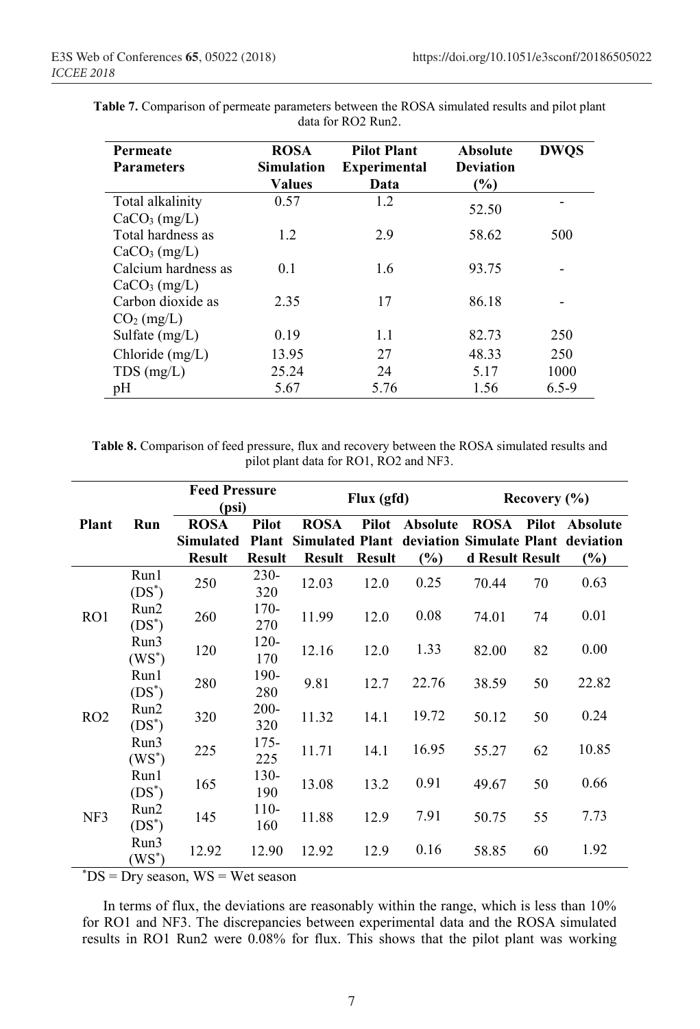| Permeate<br><b>Parameters</b> | <b>ROSA</b><br><b>Simulation</b><br>Values | <b>Pilot Plant</b><br><b>Experimental</b><br>Data | <b>Absolute</b><br><b>Deviation</b><br>(%) | <b>DWOS</b> |
|-------------------------------|--------------------------------------------|---------------------------------------------------|--------------------------------------------|-------------|
| Total alkalinity              | 0.57                                       | 1.2                                               | 52.50                                      |             |
| CaCO <sub>3</sub> (mg/L)      |                                            |                                                   |                                            |             |
| Total hardness as             | 1.2                                        | 2.9                                               | 58.62                                      | 500         |
| $CaCO3$ (mg/L)                |                                            |                                                   |                                            |             |
| Calcium hardness as           | 0.1                                        | 1.6                                               | 93.75                                      |             |
| $CaCO3$ (mg/L)                |                                            |                                                   |                                            |             |
| Carbon dioxide as             | 2.35                                       | 17                                                | 86.18                                      |             |
| $CO2$ (mg/L)                  |                                            |                                                   |                                            |             |
| Sulfate $(mg/L)$              | 0.19                                       | 1.1                                               | 82.73                                      | 250         |
| Chloride $(mg/L)$             | 13.95                                      | 27                                                | 48.33                                      | 250         |
| $TDS$ (mg/L)                  | 25.24                                      | 24                                                | 5.17                                       | 1000        |
| pH                            | 5.67                                       | 5.76                                              | 1.56                                       | $6.5 - 9$   |

**Table 7.** Comparison of permeate parameters between the ROSA simulated results and pilot plant data for RO2 Run2.

**Table 8.** Comparison of feed pressure, flux and recovery between the ROSA simulated results and pilot plant data for RO1, RO2 and NF3.

|                 |                           | <b>Feed Pressure</b><br>(psi)   |                                 |                 | Flux (gfd)            |                                                                       |                          | Recovery $(\% )$ |                |  |
|-----------------|---------------------------|---------------------------------|---------------------------------|-----------------|-----------------------|-----------------------------------------------------------------------|--------------------------|------------------|----------------|--|
| <b>Plant</b>    | Run                       | <b>ROSA</b><br><b>Simulated</b> | <b>Pilot</b><br><b>Plant</b>    | <b>ROSA</b>     | Pilot                 | <b>Absolute</b><br>Simulated Plant deviation Simulate Plant deviation | <b>ROSA</b>              |                  | Pilot Absolute |  |
|                 | Run1<br>$(DS^*)$          | <b>Result</b><br>250            | <b>Result</b><br>$230 -$<br>320 | Result<br>12.03 | <b>Result</b><br>12.0 | $(\%)$<br>0.25                                                        | d Result Result<br>70.44 | 70               | $(\%)$<br>0.63 |  |
| RO <sub>1</sub> | Run2<br>$(DS^*)$          | 260                             | $170-$<br>270                   | 11.99           | 12.0                  | 0.08                                                                  | 74.01                    | 74               | 0.01           |  |
|                 | Run3<br>$(WS^*)$          | 120                             | $120 -$<br>170                  | 12.16           | 12.0                  | 1.33                                                                  | 82.00                    | 82               | 0.00           |  |
|                 | Run1<br>$(DS^*)$          | 280                             | 190-<br>280                     | 9.81            | 12.7                  | 22.76                                                                 | 38.59                    | 50               | 22.82          |  |
| RO2             | Run2<br>$(DS^*)$          | 320                             | $200 -$<br>320                  | 11.32           | 14.1                  | 19.72                                                                 | 50.12                    | 50               | 0.24           |  |
|                 | Run3<br>$(WS^*)$          | 225                             | 175-<br>225                     | 11.71           | 14.1                  | 16.95                                                                 | 55.27                    | 62               | 10.85          |  |
| NF3             | Run1<br>$(DS^*)$          | 165                             | 130-<br>190                     | 13.08           | 13.2                  | 0.91                                                                  | 49.67                    | 50               | 0.66           |  |
|                 | Run2<br>$(DS^*)$          | 145                             | $110-$<br>160                   | 11.88           | 12.9                  | 7.91                                                                  | 50.75                    | 55               | 7.73           |  |
|                 | Run3<br>$(\mathrm{WS}^*)$ | 12.92                           | 12.90                           | 12.92           | 12.9                  | 0.16                                                                  | 58.85                    | 60               | 1.92           |  |

\* DS = Dry season, WS = Wet season

In terms of flux, the deviations are reasonably within the range, which is less than 10% for RO1 and NF3. The discrepancies between experimental data and the ROSA simulated results in RO1 Run2 were 0.08% for flux. This shows that the pilot plant was working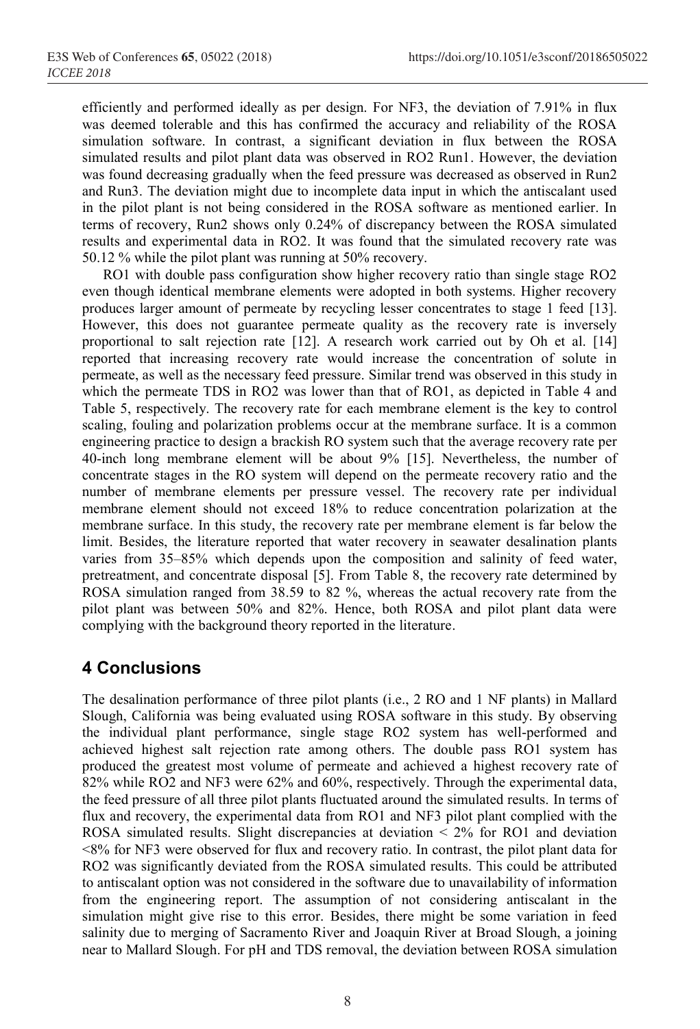efficiently and performed ideally as per design. For NF3, the deviation of 7.91% in flux was deemed tolerable and this has confirmed the accuracy and reliability of the ROSA simulation software. In contrast, a significant deviation in flux between the ROSA simulated results and pilot plant data was observed in RO2 Run1. However, the deviation was found decreasing gradually when the feed pressure was decreased as observed in Run2 and Run3. The deviation might due to incomplete data input in which the antiscalant used in the pilot plant is not being considered in the ROSA software as mentioned earlier. In terms of recovery, Run2 shows only 0.24% of discrepancy between the ROSA simulated results and experimental data in RO2. It was found that the simulated recovery rate was 50.12 % while the pilot plant was running at 50% recovery.

RO1 with double pass configuration show higher recovery ratio than single stage RO2 even though identical membrane elements were adopted in both systems. Higher recovery produces larger amount of permeate by recycling lesser concentrates to stage 1 feed [13]. However, this does not guarantee permeate quality as the recovery rate is inversely proportional to salt rejection rate [12]. A research work carried out by Oh et al. [14] reported that increasing recovery rate would increase the concentration of solute in permeate, as well as the necessary feed pressure. Similar trend was observed in this study in which the permeate TDS in RO2 was lower than that of RO1, as depicted in Table 4 and Table 5, respectively. The recovery rate for each membrane element is the key to control scaling, fouling and polarization problems occur at the membrane surface. It is a common engineering practice to design a brackish RO system such that the average recovery rate per 40-inch long membrane element will be about 9% [15]. Nevertheless, the number of concentrate stages in the RO system will depend on the permeate recovery ratio and the number of membrane elements per pressure vessel. The recovery rate per individual membrane element should not exceed 18% to reduce concentration polarization at the membrane surface. In this study, the recovery rate per membrane element is far below the limit. Besides, the literature reported that water recovery in seawater desalination plants varies from 35–85% which depends upon the composition and salinity of feed water, pretreatment, and concentrate disposal [5]. From Table 8, the recovery rate determined by ROSA simulation ranged from 38.59 to 82 %, whereas the actual recovery rate from the pilot plant was between 50% and 82%. Hence, both ROSA and pilot plant data were complying with the background theory reported in the literature.

## **4 Conclusions**

The desalination performance of three pilot plants (i.e., 2 RO and 1 NF plants) in Mallard Slough, California was being evaluated using ROSA software in this study. By observing the individual plant performance, single stage RO2 system has well-performed and achieved highest salt rejection rate among others. The double pass RO1 system has produced the greatest most volume of permeate and achieved a highest recovery rate of 82% while RO2 and NF3 were 62% and 60%, respectively. Through the experimental data, the feed pressure of all three pilot plants fluctuated around the simulated results. In terms of flux and recovery, the experimental data from RO1 and NF3 pilot plant complied with the ROSA simulated results. Slight discrepancies at deviation  $\leq$  2% for RO1 and deviation <8% for NF3 were observed for flux and recovery ratio. In contrast, the pilot plant data for RO2 was significantly deviated from the ROSA simulated results. This could be attributed to antiscalant option was not considered in the software due to unavailability of information from the engineering report. The assumption of not considering antiscalant in the simulation might give rise to this error. Besides, there might be some variation in feed salinity due to merging of Sacramento River and Joaquin River at Broad Slough, a joining near to Mallard Slough. For pH and TDS removal, the deviation between ROSA simulation